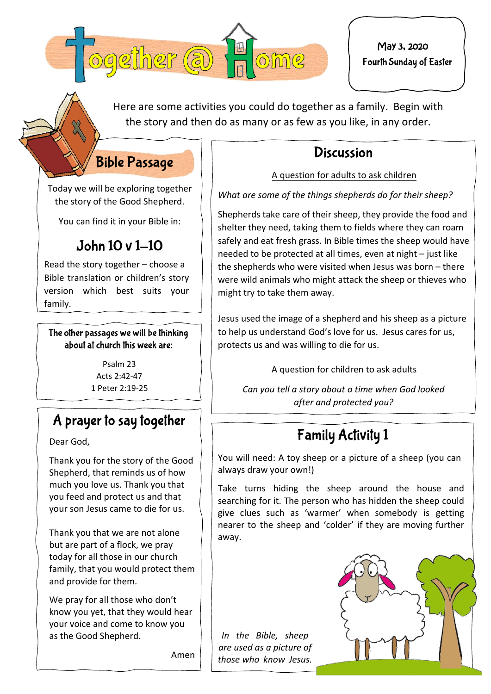

May 3, 2020Fourth Sunday of Easter

Here are some activities you could do together as a family. Begin with the story and then do as many or as few as you like, in any order.

### **Discussion**

#### A question for adults to ask children

*What are some of the things shepherds do for their sheep?* 

Shepherds take care of their sheep, they provide the food and shelter they need, taking them to fields where they can roam safely and eat fresh grass. In Bible times the sheep would have needed to be protected at all times, even at night – just like the shepherds who were visited when Jesus was born – there were wild animals who might attack the sheep or thieves who might try to take them away.

Jesus used the image of a shepherd and his sheep as a picture to help us understand God's love for us. Jesus cares for us, protects us and was willing to die for us.

A question for children to ask adults

*Can you tell a story about a time when God looked after and protected you?* 

## **Family Activity 1**

You will need: A toy sheep or a picture of a sheep (you can always draw your own!)

Take turns hiding the sheep around the house and searching for it. The person who has hidden the sheep could give clues such as 'warmer' when somebody is getting nearer to the sheep and 'colder' if they are moving further away.

*In the Bible, sheep are used as a picture of those who know Jesus.*



Today we will be exploring together the story of the Good Shepherd.

**Bible Passage** 

You can find it in your Bible in:

### John 10 v 1-10

Read the story together – choose a Bible translation or children's story version which best suits your family.

The other passages we will be thinking about at church this week are:

> Psalm 23 Arts  $2.42 - 47$ 1 Peter 2:19‐25

### A prayer to say together

Dear God,

Thank you for the story of the Good Shepherd, that reminds us of how much you love us. Thank you that you feed and protect us and that your son Jesus came to die for us.

Thank you that we are not alone but are part of a flock, we pray today for all those in our church family, that you would protect them and provide for them.

We pray for all those who don't know you yet, that they would hear your voice and come to know you as the Good Shepherd.

Amen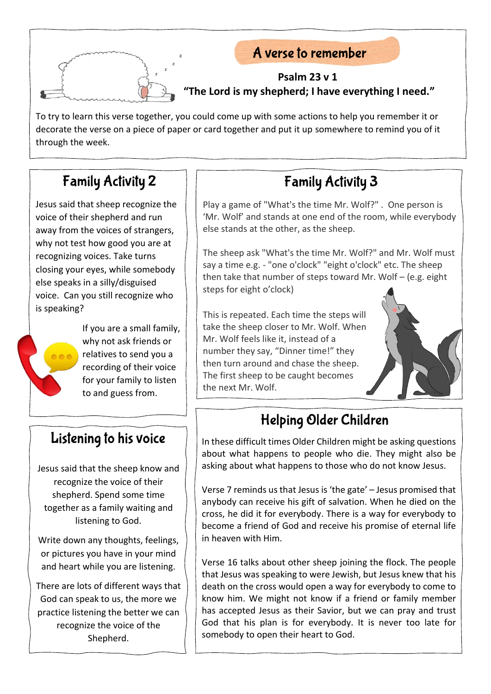

### A verse to remember

#### **Psalm 23 v 1 "The Lord is my shepherd; I have everything I need."**

To try to learn this verse together, you could come up with some actions to help you remember it or decorate the verse on a piece of paper or card together and put it up somewhere to remind you of it through the week.

### **Family Activity 2**

Jesus said that sheep recognize the voice of their shepherd and run away from the voices of strangers, why not test how good you are at recognizing voices. Take turns closing your eyes, while somebody else speaks in a silly/disguised voice. Can you still recognize who is speaking?

> If you are a small family, why not ask friends or relatives to send you a recording of their voice for your family to listen to and guess from.

# **Family Activity 3**

Play a game of "What's the time Mr. Wolf?" . One person is 'Mr. Wolf' and stands at one end of the room, while everybody else stands at the other, as the sheep.

The sheep ask "What's the time Mr. Wolf?" and Mr. Wolf must say a time e.g. - "one o'clock" "eight o'clock" etc. The sheep then take that number of steps toward Mr. Wolf – (e.g. eight steps for eight o'clock)

This is repeated. Each time the steps will take the sheep closer to Mr. Wolf. When Mr. Wolf feels like it, instead of a number they say, "Dinner time!" they then turn around and chase the sheep. The first sheep to be caught becomes the next Mr. Wolf.



### Helping Older Children

In these difficult times Older Children might be asking questions about what happens to people who die. They might also be asking about what happens to those who do not know Jesus.

Verse 7 reminds us that Jesus is 'the gate' – Jesus promised that anybody can receive his gift of salvation. When he died on the cross, he did it for everybody. There is a way for everybody to become a friend of God and receive his promise of eternal life in heaven with Him.

Verse 16 talks about other sheep joining the flock. The people that Jesus was speaking to were Jewish, but Jesus knew that his death on the cross would open a way for everybody to come to know him. We might not know if a friend or family member has accepted Jesus as their Savior, but we can pray and trust God that his plan is for everybody. It is never too late for somebody to open their heart to God.

### Listening to his voice

Jesus said that the sheep know and recognize the voice of their shepherd. Spend some time together as a family waiting and listening to God.

Write down any thoughts, feelings, or pictures you have in your mind and heart while you are listening.

There are lots of different ways that God can speak to us, the more we practice listening the better we can recognize the voice of the Shepherd.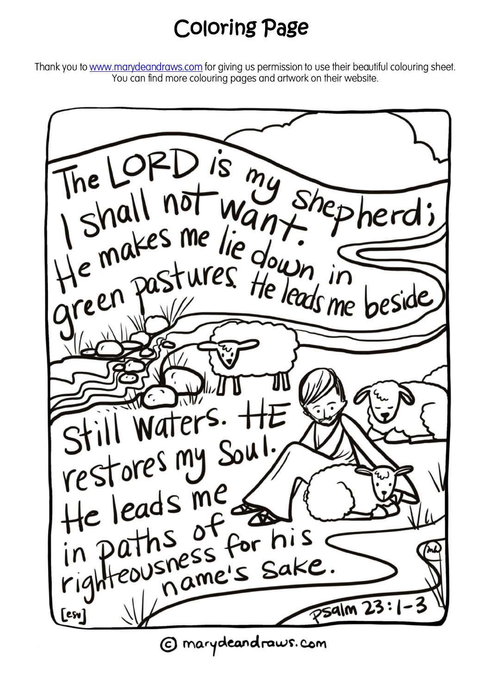# Coloring Page

Thank you to www.marydeandraws.com for giving us permission to use their beautiful colouring sheet. You can find more colouring pages and artwork on their website.